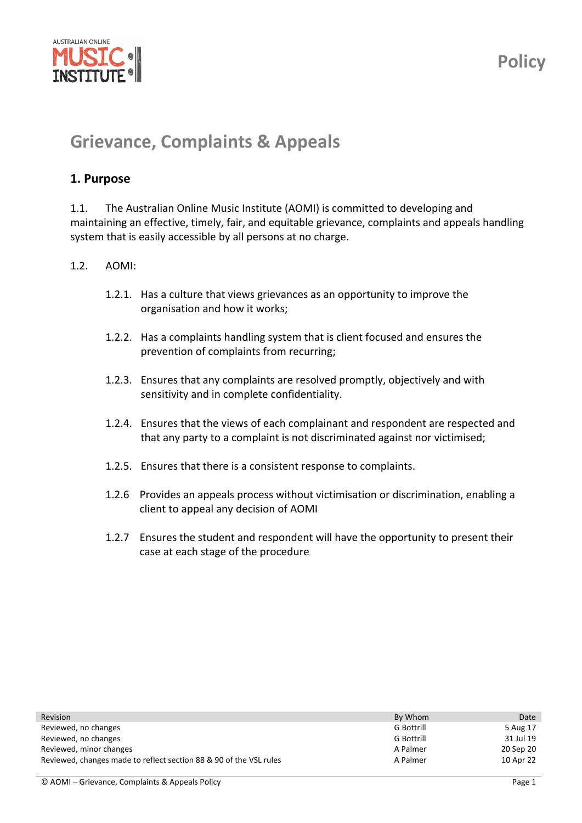

# **Grievance, Complaints & Appeals**

## **1. Purpose**

1.1. The Australian Online Music Institute (AOMI) is committed to developing and maintaining an effective, timely, fair, and equitable grievance, complaints and appeals handling system that is easily accessible by all persons at no charge.

#### 1.2. AOMI:

- 1.2.1. Has a culture that views grievances as an opportunity to improve the organisation and how it works;
- 1.2.2. Has a complaints handling system that is client focused and ensures the prevention of complaints from recurring;
- 1.2.3. Ensures that any complaints are resolved promptly, objectively and with sensitivity and in complete confidentiality.
- 1.2.4. Ensures that the views of each complainant and respondent are respected and that any party to a complaint is not discriminated against nor victimised;
- 1.2.5. Ensures that there is a consistent response to complaints.
- 1.2.6 Provides an appeals process without victimisation or discrimination, enabling a client to appeal any decision of AOMI
- 1.2.7 Ensures the student and respondent will have the opportunity to present their case at each stage of the procedure

| Revision                                                           | By Whom           | Date      |
|--------------------------------------------------------------------|-------------------|-----------|
| Reviewed, no changes                                               | <b>G</b> Bottrill | 5 Aug 17  |
| Reviewed, no changes                                               | <b>G</b> Bottrill | 31 Jul 19 |
| Reviewed, minor changes                                            | A Palmer          | 20 Sep 20 |
| Reviewed, changes made to reflect section 88 & 90 of the VSL rules | A Palmer          | 10 Apr 22 |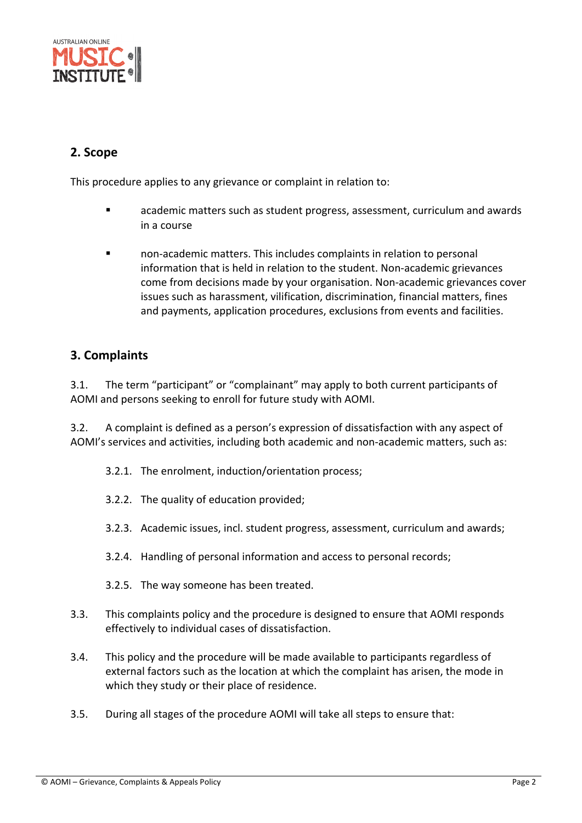

## **2. Scope**

This procedure applies to any grievance or complaint in relation to:

- academic matters such as student progress, assessment, curriculum and awards in a course
- non‐academic matters. This includes complaints in relation to personal information that is held in relation to the student. Non-academic grievances come from decisions made by your organisation. Non‐academic grievances cover issues such as harassment, vilification, discrimination, financial matters, fines and payments, application procedures, exclusions from events and facilities.

## **3. Complaints**

3.1. The term "participant" or "complainant" may apply to both current participants of AOMI and persons seeking to enroll for future study with AOMI.

3.2. A complaint is defined as a person's expression of dissatisfaction with any aspect of AOMI's services and activities, including both academic and non‐academic matters, such as:

- 3.2.1. The enrolment, induction/orientation process;
- 3.2.2. The quality of education provided;
- 3.2.3. Academic issues, incl. student progress, assessment, curriculum and awards;
- 3.2.4. Handling of personal information and access to personal records;
- 3.2.5. The way someone has been treated.
- 3.3. This complaints policy and the procedure is designed to ensure that AOMI responds effectively to individual cases of dissatisfaction.
- 3.4. This policy and the procedure will be made available to participants regardless of external factors such as the location at which the complaint has arisen, the mode in which they study or their place of residence.
- 3.5. During all stages of the procedure AOMI will take all steps to ensure that: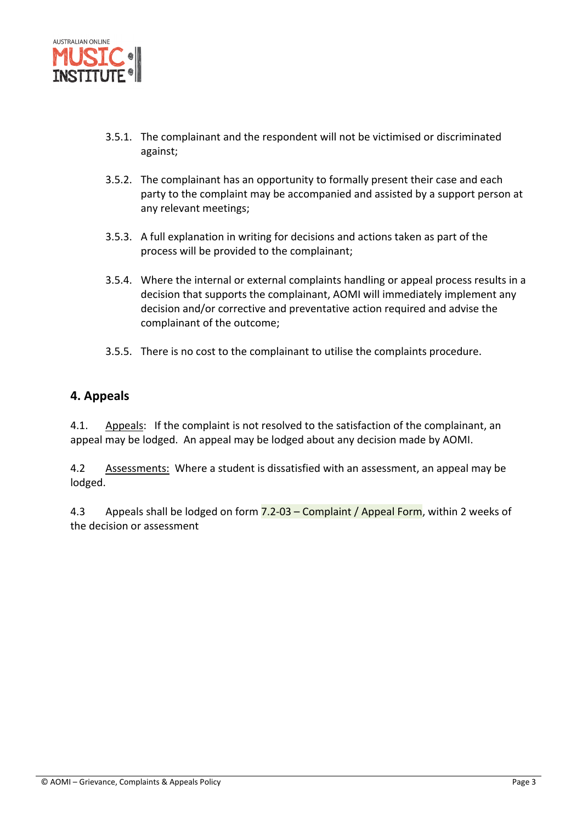

- 3.5.1. The complainant and the respondent will not be victimised or discriminated against;
- 3.5.2. The complainant has an opportunity to formally present their case and each party to the complaint may be accompanied and assisted by a support person at any relevant meetings;
- 3.5.3. A full explanation in writing for decisions and actions taken as part of the process will be provided to the complainant;
- 3.5.4. Where the internal or external complaints handling or appeal process results in a decision that supports the complainant, AOMI will immediately implement any decision and/or corrective and preventative action required and advise the complainant of the outcome;
- 3.5.5. There is no cost to the complainant to utilise the complaints procedure.

## **4. Appeals**

4.1. Appeals: If the complaint is not resolved to the satisfaction of the complainant, an appeal may be lodged. An appeal may be lodged about any decision made by AOMI.

4.2 Assessments: Where a student is dissatisfied with an assessment, an appeal may be lodged.

4.3 Appeals shall be lodged on form 7.2-03 – Complaint / Appeal Form, within 2 weeks of the decision or assessment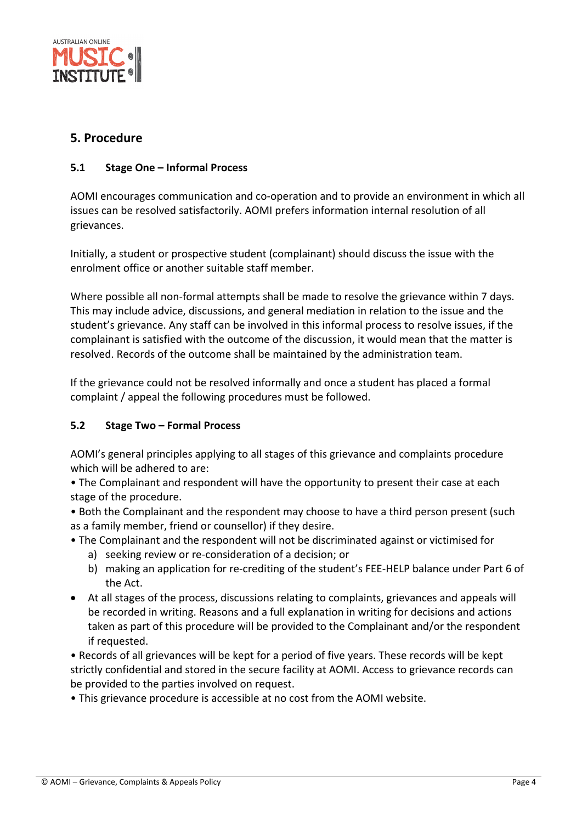

## **5. Procedure**

#### **5.1 Stage One – Informal Process**

AOMI encourages communication and co‐operation and to provide an environment in which all issues can be resolved satisfactorily. AOMI prefers information internal resolution of all grievances.

Initially, a student or prospective student (complainant) should discuss the issue with the enrolment office or another suitable staff member.

Where possible all non-formal attempts shall be made to resolve the grievance within 7 days. This may include advice, discussions, and general mediation in relation to the issue and the student's grievance. Any staff can be involved in this informal process to resolve issues, if the complainant is satisfied with the outcome of the discussion, it would mean that the matter is resolved. Records of the outcome shall be maintained by the administration team.

If the grievance could not be resolved informally and once a student has placed a formal complaint / appeal the following procedures must be followed.

#### **5.2 Stage Two – Formal Process**

AOMI's general principles applying to all stages of this grievance and complaints procedure which will be adhered to are:

• The Complainant and respondent will have the opportunity to present their case at each stage of the procedure.

• Both the Complainant and the respondent may choose to have a third person present (such as a family member, friend or counsellor) if they desire.

• The Complainant and the respondent will not be discriminated against or victimised for

- a) seeking review or re‐consideration of a decision; or
- b) making an application for re-crediting of the student's FEE-HELP balance under Part 6 of the Act.
- At all stages of the process, discussions relating to complaints, grievances and appeals will be recorded in writing. Reasons and a full explanation in writing for decisions and actions taken as part of this procedure will be provided to the Complainant and/or the respondent if requested.

• Records of all grievances will be kept for a period of five years. These records will be kept strictly confidential and stored in the secure facility at AOMI. Access to grievance records can be provided to the parties involved on request.

• This grievance procedure is accessible at no cost from the AOMI website.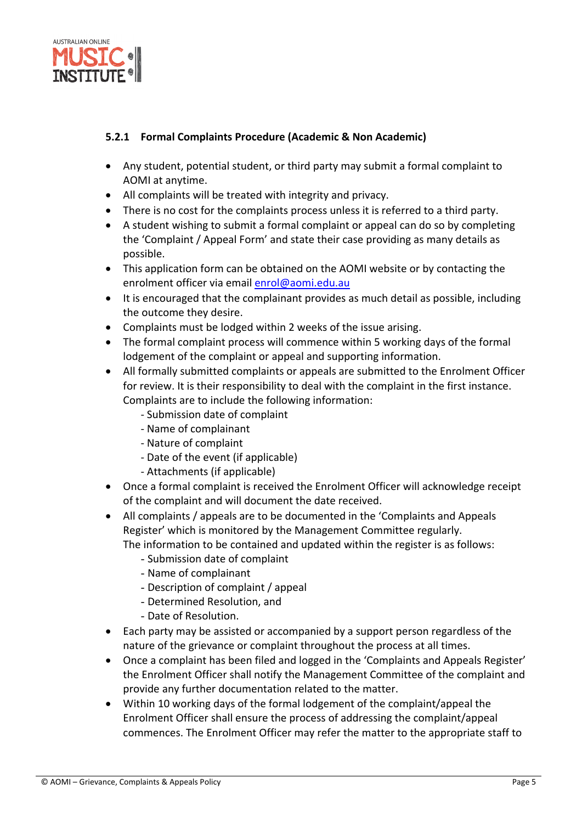

#### **5.2.1 Formal Complaints Procedure (Academic & Non Academic)**

- Any student, potential student, or third party may submit a formal complaint to AOMI at anytime.
- All complaints will be treated with integrity and privacy.
- There is no cost for the complaints process unless it is referred to a third party.
- A student wishing to submit a formal complaint or appeal can do so by completing the 'Complaint / Appeal Form' and state their case providing as many details as possible.
- This application form can be obtained on the AOMI website or by contacting the enrolment officer via email enrol@aomi.edu.au
- It is encouraged that the complainant provides as much detail as possible, including the outcome they desire.
- Complaints must be lodged within 2 weeks of the issue arising.
- The formal complaint process will commence within 5 working days of the formal lodgement of the complaint or appeal and supporting information.
- All formally submitted complaints or appeals are submitted to the Enrolment Officer for review. It is their responsibility to deal with the complaint in the first instance. Complaints are to include the following information:
	- ‐ Submission date of complaint
	- ‐ Name of complainant
	- ‐ Nature of complaint
	- ‐ Date of the event (if applicable)
	- ‐ Attachments (if applicable)
- Once a formal complaint is received the Enrolment Officer will acknowledge receipt of the complaint and will document the date received.
- All complaints / appeals are to be documented in the 'Complaints and Appeals Register' which is monitored by the Management Committee regularly. The information to be contained and updated within the register is as follows:
	- Submission date of complaint
	- Name of complainant
	- Description of complaint / appeal
	- Determined Resolution, and
	- Date of Resolution.
- Each party may be assisted or accompanied by a support person regardless of the nature of the grievance or complaint throughout the process at all times.
- Once a complaint has been filed and logged in the 'Complaints and Appeals Register' the Enrolment Officer shall notify the Management Committee of the complaint and provide any further documentation related to the matter.
- Within 10 working days of the formal lodgement of the complaint/appeal the Enrolment Officer shall ensure the process of addressing the complaint/appeal commences. The Enrolment Officer may refer the matter to the appropriate staff to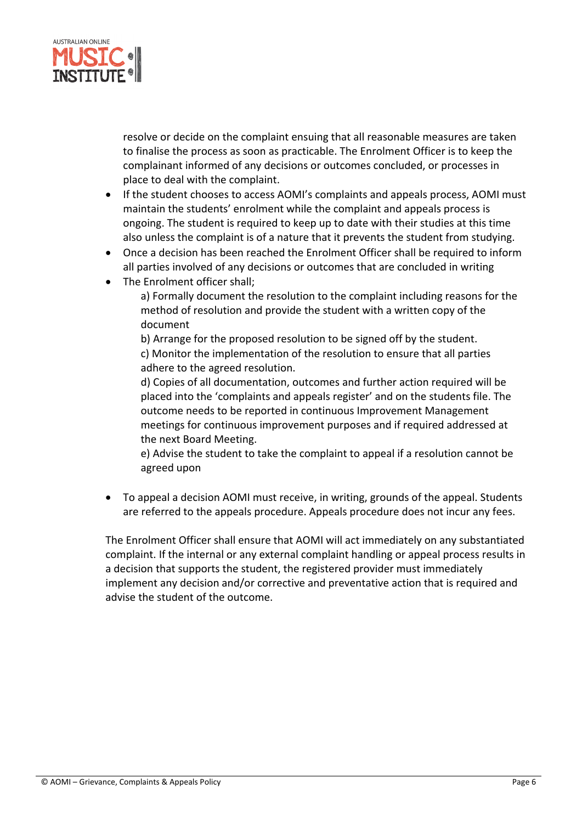

resolve or decide on the complaint ensuing that all reasonable measures are taken to finalise the process as soon as practicable. The Enrolment Officer is to keep the complainant informed of any decisions or outcomes concluded, or processes in place to deal with the complaint.

- If the student chooses to access AOMI's complaints and appeals process, AOMI must maintain the students' enrolment while the complaint and appeals process is ongoing. The student is required to keep up to date with their studies at this time also unless the complaint is of a nature that it prevents the student from studying.
- Once a decision has been reached the Enrolment Officer shall be required to inform all parties involved of any decisions or outcomes that are concluded in writing
- The Enrolment officer shall;

a) Formally document the resolution to the complaint including reasons for the method of resolution and provide the student with a written copy of the document

b) Arrange for the proposed resolution to be signed off by the student. c) Monitor the implementation of the resolution to ensure that all parties adhere to the agreed resolution.

d) Copies of all documentation, outcomes and further action required will be placed into the 'complaints and appeals register' and on the students file. The outcome needs to be reported in continuous Improvement Management meetings for continuous improvement purposes and if required addressed at the next Board Meeting.

e) Advise the student to take the complaint to appeal if a resolution cannot be agreed upon

 To appeal a decision AOMI must receive, in writing, grounds of the appeal. Students are referred to the appeals procedure. Appeals procedure does not incur any fees.

The Enrolment Officer shall ensure that AOMI will act immediately on any substantiated complaint. If the internal or any external complaint handling or appeal process results in a decision that supports the student, the registered provider must immediately implement any decision and/or corrective and preventative action that is required and advise the student of the outcome.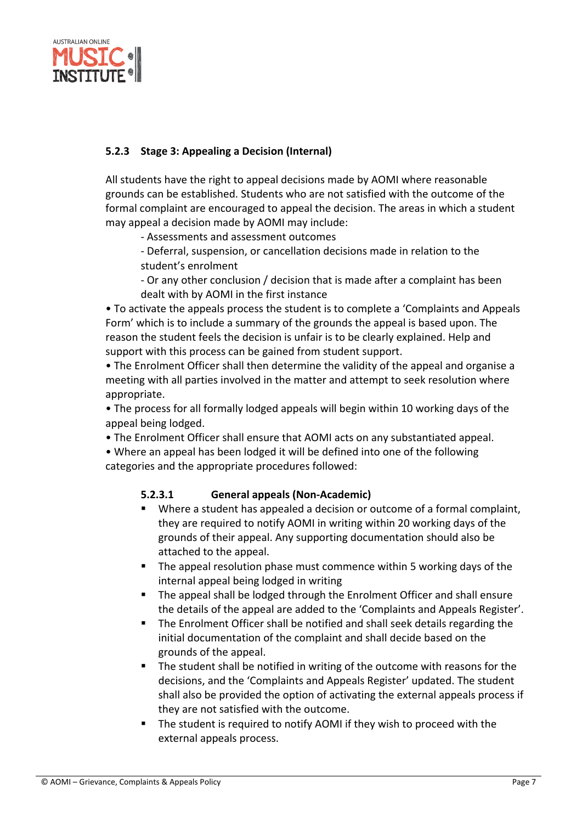

## **5.2.3 Stage 3: Appealing a Decision (Internal)**

All students have the right to appeal decisions made by AOMI where reasonable grounds can be established. Students who are not satisfied with the outcome of the formal complaint are encouraged to appeal the decision. The areas in which a student may appeal a decision made by AOMI may include:

‐ Assessments and assessment outcomes

‐ Deferral, suspension, or cancellation decisions made in relation to the student's enrolment

‐ Or any other conclusion / decision that is made after a complaint has been dealt with by AOMI in the first instance

• To activate the appeals process the student is to complete a 'Complaints and Appeals Form' which is to include a summary of the grounds the appeal is based upon. The reason the student feels the decision is unfair is to be clearly explained. Help and support with this process can be gained from student support.

• The Enrolment Officer shall then determine the validity of the appeal and organise a meeting with all parties involved in the matter and attempt to seek resolution where appropriate.

• The process for all formally lodged appeals will begin within 10 working days of the appeal being lodged.

• The Enrolment Officer shall ensure that AOMI acts on any substantiated appeal.

• Where an appeal has been lodged it will be defined into one of the following categories and the appropriate procedures followed:

## **5.2.3.1 General appeals (Non‐Academic)**

- Where a student has appealed a decision or outcome of a formal complaint, they are required to notify AOMI in writing within 20 working days of the grounds of their appeal. Any supporting documentation should also be attached to the appeal.
- **The appeal resolution phase must commence within 5 working days of the** internal appeal being lodged in writing
- The appeal shall be lodged through the Enrolment Officer and shall ensure the details of the appeal are added to the 'Complaints and Appeals Register'.
- The Enrolment Officer shall be notified and shall seek details regarding the initial documentation of the complaint and shall decide based on the grounds of the appeal.
- **The student shall be notified in writing of the outcome with reasons for the** decisions, and the 'Complaints and Appeals Register' updated. The student shall also be provided the option of activating the external appeals process if they are not satisfied with the outcome.
- The student is required to notify AOMI if they wish to proceed with the external appeals process.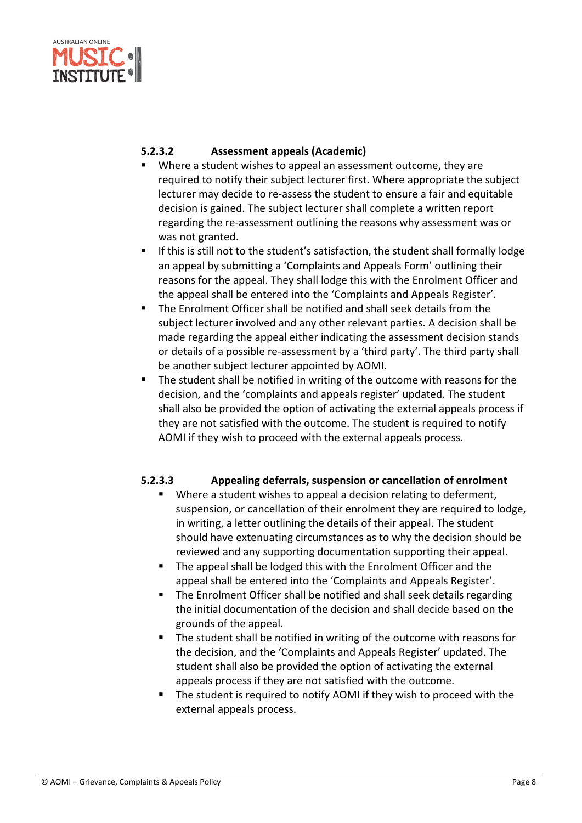

#### **5.2.3.2 Assessment appeals (Academic)**

- Where a student wishes to appeal an assessment outcome, they are required to notify their subject lecturer first. Where appropriate the subject lecturer may decide to re‐assess the student to ensure a fair and equitable decision is gained. The subject lecturer shall complete a written report regarding the re‐assessment outlining the reasons why assessment was or was not granted.
- **If this is still not to the student's satisfaction, the student shall formally lodge** an appeal by submitting a 'Complaints and Appeals Form' outlining their reasons for the appeal. They shall lodge this with the Enrolment Officer and the appeal shall be entered into the 'Complaints and Appeals Register'.
- The Enrolment Officer shall be notified and shall seek details from the subject lecturer involved and any other relevant parties. A decision shall be made regarding the appeal either indicating the assessment decision stands or details of a possible re‐assessment by a 'third party'. The third party shall be another subject lecturer appointed by AOMI.
- The student shall be notified in writing of the outcome with reasons for the decision, and the 'complaints and appeals register' updated. The student shall also be provided the option of activating the external appeals process if they are not satisfied with the outcome. The student is required to notify AOMI if they wish to proceed with the external appeals process.

## **5.2.3.3 Appealing deferrals, suspension or cancellation of enrolment**

- Where a student wishes to appeal a decision relating to deferment, suspension, or cancellation of their enrolment they are required to lodge, in writing, a letter outlining the details of their appeal. The student should have extenuating circumstances as to why the decision should be reviewed and any supporting documentation supporting their appeal.
- The appeal shall be lodged this with the Enrolment Officer and the appeal shall be entered into the 'Complaints and Appeals Register'.
- The Enrolment Officer shall be notified and shall seek details regarding the initial documentation of the decision and shall decide based on the grounds of the appeal.
- The student shall be notified in writing of the outcome with reasons for the decision, and the 'Complaints and Appeals Register' updated. The student shall also be provided the option of activating the external appeals process if they are not satisfied with the outcome.
- The student is required to notify AOMI if they wish to proceed with the external appeals process.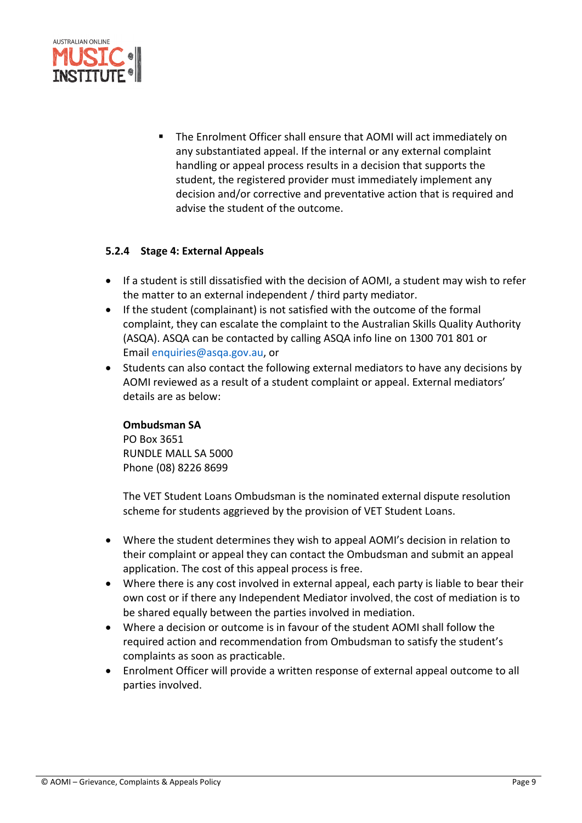

**The Enrolment Officer shall ensure that AOMI will act immediately on** any substantiated appeal. If the internal or any external complaint handling or appeal process results in a decision that supports the student, the registered provider must immediately implement any decision and/or corrective and preventative action that is required and advise the student of the outcome.

#### **5.2.4 Stage 4: External Appeals**

- If a student is still dissatisfied with the decision of AOMI, a student may wish to refer the matter to an external independent / third party mediator.
- If the student (complainant) is not satisfied with the outcome of the formal complaint, they can escalate the complaint to the Australian Skills Quality Authority (ASQA). ASQA can be contacted by calling ASQA info line on 1300 701 801 or Email enquiries@asqa.gov.au, or
- Students can also contact the following external mediators to have any decisions by AOMI reviewed as a result of a student complaint or appeal. External mediators' details are as below:

#### **Ombudsman SA**

PO Box 3651 RUNDLE MALL SA 5000 Phone (08) 8226 8699

The VET Student Loans Ombudsman is the nominated external dispute resolution scheme for students aggrieved by the provision of VET Student Loans.

- Where the student determines they wish to appeal AOMI's decision in relation to their complaint or appeal they can contact the Ombudsman and submit an appeal application. The cost of this appeal process is free.
- Where there is any cost involved in external appeal, each party is liable to bear their own cost or if there any Independent Mediator involved, the cost of mediation is to be shared equally between the parties involved in mediation.
- Where a decision or outcome is in favour of the student AOMI shall follow the required action and recommendation from Ombudsman to satisfy the student's complaints as soon as practicable.
- Enrolment Officer will provide a written response of external appeal outcome to all parties involved.